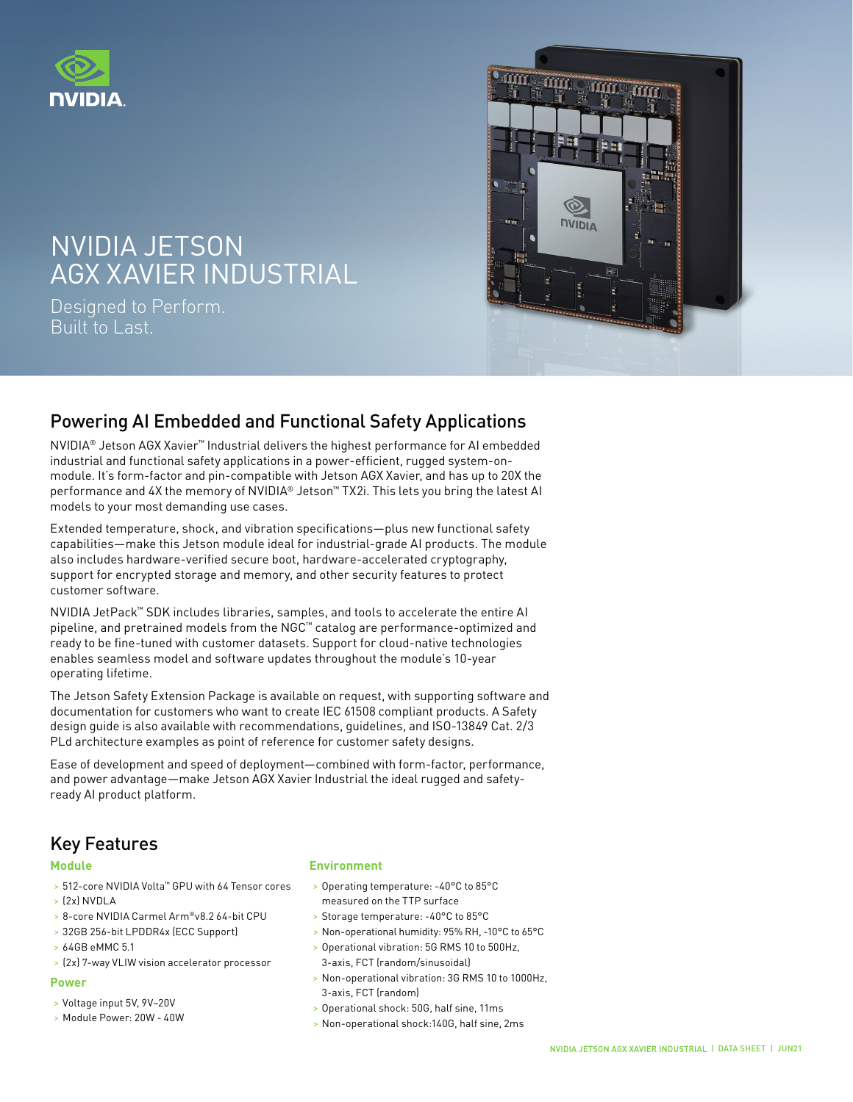



## NVIDIA DE CANTON DE L'ANGUARDO INVIDIA JE I JUIN<br>DAM 2009 DATA CENTERS WITH HORES AGX XAVIER INDUSTRIAL NVIDIA JETSON

Designed to Perform. Built to Last.

# Powering AI Embedded and Functional Safety Applications

NVIDIA® Jetson AGX Xavier™ Industrial delivers the highest performance for AI embedded industrial and functional safety applications in a power-efficient, rugged system-onmodule. It's form-factor and pin-compatible with Jetson AGX Xavier, and has up to 20X the performance and 4X the memory of NVIDIA® Jetson™ TX2i. This lets you bring the latest AI models to your most demanding use cases.

Extended temperature, shock, and vibration specifications—plus new functional safety capabilities—make this Jetson module ideal for industrial-grade AI products. The module also includes hardware-verified secure boot, hardware-accelerated cryptography, support for encrypted storage and memory, and other security features to protect customer software.

NVIDIA JetPack™ SDK includes libraries, samples, and tools to accelerate the entire AI pipeline, and pretrained models from the NGC™ catalog are performance-optimized and ready to be fine-tuned with customer datasets. Support for cloud-native technologies enables seamless model and software updates throughout the module's 10-year operating lifetime.

The Jetson Safety Extension Package is available on request, with supporting software and documentation for customers who want to create IEC 61508 compliant products. A Safety design guide is also available with recommendations, guidelines, and ISO-13849 Cat. 2/3 PLd architecture examples as point of reference for customer safety designs.

Ease of development and speed of deployment—combined with form-factor, performance, and power advantage—make Jetson AGX Xavier Industrial the ideal rugged and safetyready AI product platform.

# Key Features

#### **Module**

- > 512-core NVIDIA Volta™ GPU with 64 Tensor cores
- > (2x) NVDLA
- > 8-core NVIDIA Carmel Arm®v8.2 64-bit CPU
- > 32GB 256-bit LPDDR4x (ECC Support)
- > 64GB eMMC 5.1
- > (2x) 7-way VLIW vision accelerator processor

### **Power**

- > Voltage input 5V, 9V~20V
- > Module Power: 20W 40W

### **Environment**

- > Operating temperature: -40°C to 85°C measured on the TTP surface
- > Storage temperature: -40°C to 85°C
- > Non-operational humidity: 95% RH, -10°C to 65°C
- > Operational vibration: 5G RMS 10 to 500Hz, 3-axis, FCT (random/sinusoidal)
- > Non-operational vibration: 3G RMS 10 to 1000Hz, 3-axis, FCT (random)
- > Operational shock: 50G, half sine, 11ms
- > Non-operational shock:140G, half sine, 2ms